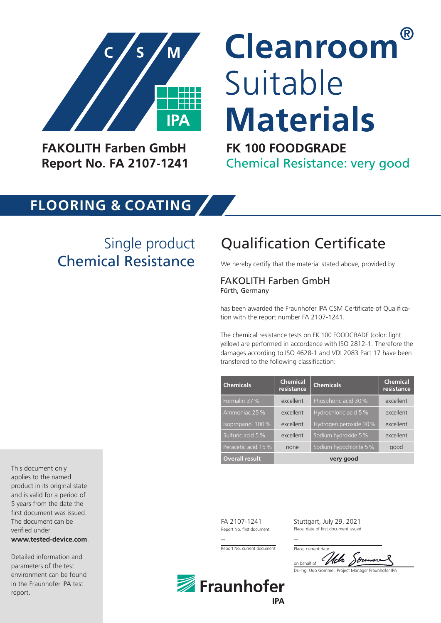

**FAKOLITH Farben GmbH Report No. FA 2107-1241** 

# <sup>(R)</sup> Cleanroom Suitable **Materials**

**FK 100 FOODGRADE Chemical Resistance: very good** 

### **FLOORING & COATING**

Single product Chemical Resistance We hereby certify that the material stated above, provided by

## Qualification Certificate

#### FAKOLITH Farben GmbH Fürth, Germany

has been awarded the Fraunhofer IPA CSM Certificate of Qualification with the report number FA 2107-1241.

The chemical resistance tests on FK 100 FOODGRADE (color: light yellow) are performed in accordance with ISO 2812-1. Therefore the damages according to ISO 4628-1 and VDI 2083 Part 17 have been transfered to the following classification:

| <b>Chemicals</b>      | <b>Chemical</b><br>resistance | <b>Chemicals</b>       | <b>Chemical</b><br>resistance |
|-----------------------|-------------------------------|------------------------|-------------------------------|
| Formalin 37 %         | excellent                     | Phosphoric acid 30 %   | excellent                     |
| Ammoniac 25 %         | excellent                     | Hydrochloric acid 5 %  | excellent                     |
| Isopropanol 100 %     | excellent                     | Hydrogen peroxide 30 % | excellent                     |
| Sulfuric acid 5 %     | excellent                     | Sodium hydroxide 5 %   | excellent                     |
| Peracetic acid 15 %   | none                          | Sodium hypochlorite 5% | good                          |
| <b>Overall result</b> | very good                     |                        |                               |

FA 2107-1241 Stuttgart, July 29, 2021

Report No. first document Place, date of first document issued

-- --

Report No. current document

Dr.-Ing. Udo Gommel, Project Manager Fraunhofer IPA on behalf of Place, current date



This document only applies to the named product in its original state and is valid for a period of 5 years from the date the first document was issued. The document can be verified under

**www.tested-device.com**.

Detailed information and parameters of the test environment can be found in the Fraunhofer IPA test report.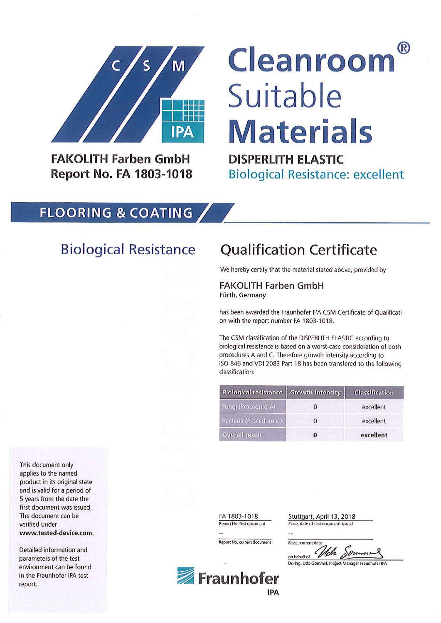

**FAKOLITH Farben GmbH Report No. FA 1803-1018** 

# (R) Cleanroom Suitable **Materials**

**DISPERLITH ELASTIC Biological Resistance: excellent** 

#### **FLOORING & COATING**

### **Biological Resistance**

### **Qualification Certificate**

We hereby certify that the material stated above, provided by

**FAKOLITH Farben GmbH** Fürth, Germany

has been awarded the Fraunhofer IPA CSM Certificate of Qualification with the report number FA 1803-1018.

The CSM classification of the DISPERLITH ELASTIC according to biological resistance is based on a worst-case consideration of both procedures A and C. Therefore growth intensity according to ISO 846 and VDI 2083 Part 18 has been transfered to the following classification:

| <b>Biological resistance Growth intensity</b> |          | <b>Classification</b> |  |
|-----------------------------------------------|----------|-----------------------|--|
| Fungi (Procedure A)                           |          | excellent             |  |
| Bacteria (Procedure C)                        | 0        | excellent             |  |
| Overall result                                | $\bf{0}$ | excellent             |  |

This document only applies to the named product in its original state and is valid for a period of 5 years from the date the first document was issued. The document can be verified under www.tested-device.com.

Detailed information and parameters of the test environment can be found in the Fraunhofer IPA test report.

FA 1803-1018 Report No. first document

Report No. current document

Stuttgart, April 13, 2018 Place, date of first document issued

Place, current date on behalf of *Web* Dunn

Dr.-Ing. Udo Gommel, Project Manager Fraunhofer IPA

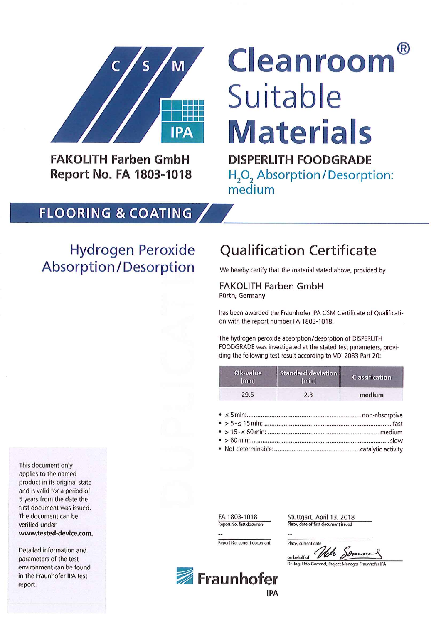

**FAKOLITH Farben GmbH Report No. FA 1803-1018** 

# <sup>(R)</sup> Cleanroom Suitable **Materials**

**DISPERLITH FOODGRADE** 

H<sub>2</sub>O<sub>2</sub> Absorption/Desorption: medium

#### **FLOORING & COATING**

### **Hydrogen Peroxide** Absorption/Desorption

### **Qualification Certificate**

We hereby certify that the material stated above, provided by

**FAKOLITH Farben GmbH** Fürth, Germany

has been awarded the Fraunhofer IPA CSM Certificate of Qualification with the report number FA 1803-1018.

The hydrogen peroxide absorption/desorption of DISPERLITH FOODGRADE was investigated at the stated test parameters, providing the following test result according to VDI 2083 Part 20:

| Øk-value<br>[min] | Standard deviation<br><i><u><b>Imini</b></u></i> | <b>Classification</b> |  |
|-------------------|--------------------------------------------------|-----------------------|--|
| 29.5              | 2.3                                              | medium                |  |

FA 1803-1018 Report No. first document

Report No. current document

Stuttgart, April 13, 2018 Place, date of first document issued

Place, current date Down on behalf of *Web* Souman S<br>Dr.-Ing. Udo Gommel, Project Manager Fraunhofer IPA

This document only applies to the named product in its original state and is valid for a period of 5 years from the date the first document was issued. The document can be verified under www.tested-device.com.

Detailed information and parameters of the test environment can be found in the Fraunhofer IPA test report.